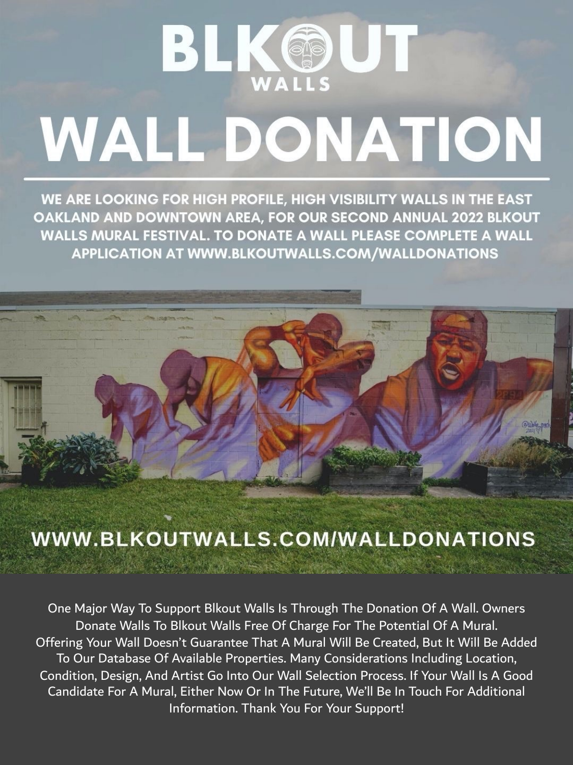

# **WALL DONATION**

WE ARE LOOKING FOR HIGH PROFILE, HIGH VISIBILITY WALLS IN THE EAST OAKLAND AND DOWNTOWN AREA, FOR OUR SECOND ANNUAL 2022 BLKOUT WALLS MURAL FESTIVAL. TO DONATE A WALL PLEASE COMPLETE A WALL **APPLICATION AT WWW.BLKOUTWALLS.COM/WALLDONATIONS** 

## WWW.BLKOUTWALLS.COM/WALLDONATIONS

**CALL AND AND ARTICLES** 

One Major Way To Support Blkout Walls Is Through The Donation Of A Wall. Owners Donate Walls To Blkout Walls Free Of Charge For The Potential Of A Mural. Offering Your Wall Doesn't Guarantee That A Mural Will Be Created, But It Will Be Added To Our Database Of Available Properties. Many Considerations Including Location, Condition, Design, And Artist Go Into Our Wall Selection Process. If Your Wall Is A Good Candidate For A Mural, Either Now Or In The Future, We'll Be In Touch For Additional Information. Thank You For Your Support!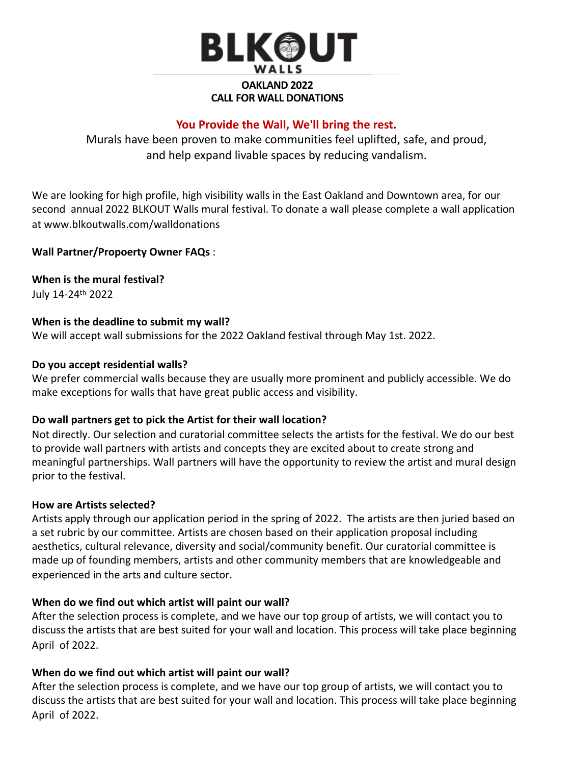

### **OAKLAND 2022 CALL FOR WALL DONATIONS**

#### **You Provide the Wall, We'll bring the rest.**

Murals have been proven to make communities feel uplifted, safe, and proud, and help expand livable spaces by reducing vandalism.

We are looking for high profile, high visibility walls in the East Oakland and Downtown area, for our second annual 2022 BLKOUT Walls mural festival. To donate a wall please complete a wall application at www.blkoutwalls.com/walldonations

#### **Wall Partner/Propoerty Owner FAQs** :

**When is the mural festival?**

July 14-24th 2022

#### **When is the deadline to submit my wall?**

We will accept wall submissions for the 2022 Oakland festival through May 1st. 2022.

#### **Do you accept residential walls?**

We prefer commercial walls because they are usually more prominent and publicly accessible. We do make exceptions for walls that have great public access and visibility.

#### **Do wall partners get to pick the Artist for their wall location?**

Not directly. Our selection and curatorial committee selects the artists for the festival. We do our best to provide wall partners with artists and concepts they are excited about to create strong and meaningful partnerships. Wall partners will have the opportunity to review the artist and mural design prior to the festival.

#### **How are Artists selected?**

Artists apply through our application period in the spring of 2022. The artists are then juried based on a set rubric by our committee. Artists are chosen based on their application proposal including aesthetics, cultural relevance, diversity and social/community benefit. Our curatorial committee is made up of founding members, artists and other community members that are knowledgeable and experienced in the arts and culture sector.

#### **When do we find out which artist will paint our wall?**

After the selection process is complete, and we have our top group of artists, we will contact you to discuss the artists that are best suited for your wall and location. This process will take place beginning April of 2022.

#### **When do we find out which artist will paint our wall?**

After the selection process is complete, and we have our top group of artists, we will contact you to discuss the artists that are best suited for your wall and location. This process will take place beginning April of 2022.